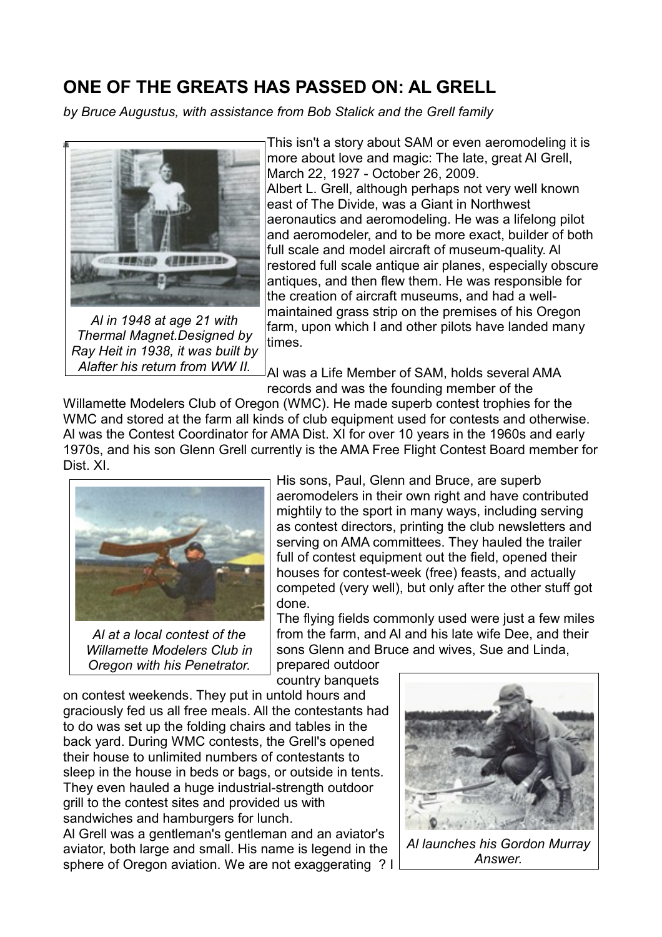## **ONE OF THE GREATS HAS PASSED ON: AL GRELL**

*by Bruce Augustus, with assistance from Bob Stalick and the Grell family*



*Al in 1948 at age 21 with Thermal Magnet.Designed by Ray Heit in 1938, it was built by Alafter his return from WW II.*

This isn't a story about SAM or even aeromodeling it is more about love and magic: The late, great Al Grell, March 22, 1927 - October 26, 2009. Albert L. Grell, although perhaps not very well known east of The Divide, was a Giant in Northwest aeronautics and aeromodeling. He was a lifelong pilot and aeromodeler, and to be more exact, builder of both full scale and model aircraft of museum-quality. Al restored full scale antique air planes, especially obscure antiques, and then flew them. He was responsible for the creation of aircraft museums, and had a wellmaintained grass strip on the premises of his Oregon farm, upon which I and other pilots have landed many times.

Al was a Life Member of SAM, holds several AMA records and was the founding member of the

Willamette Modelers Club of Oregon (WMC). He made superb contest trophies for the WMC and stored at the farm all kinds of club equipment used for contests and otherwise. Al was the Contest Coordinator for AMA Dist. XI for over 10 years in the 1960s and early 1970s, and his son Glenn Grell currently is the AMA Free Flight Contest Board member for Dist. XI.



*Al at a local contest of the Willamette Modelers Club in Oregon with his Penetrator.*

His sons, Paul, Glenn and Bruce, are superb aeromodelers in their own right and have contributed mightily to the sport in many ways, including serving as contest directors, printing the club newsletters and serving on AMA committees. They hauled the trailer full of contest equipment out the field, opened their houses for contest-week (free) feasts, and actually competed (very well), but only after the other stuff got done.

The flying fields commonly used were just a few miles from the farm, and Al and his late wife Dee, and their sons Glenn and Bruce and wives, Sue and Linda,

prepared outdoor country banquets

on contest weekends. They put in untold hours and graciously fed us all free meals. All the contestants had to do was set up the folding chairs and tables in the back yard. During WMC contests, the Grell's opened their house to unlimited numbers of contestants to sleep in the house in beds or bags, or outside in tents. They even hauled a huge industrial-strength outdoor grill to the contest sites and provided us with sandwiches and hamburgers for lunch. Al Grell was a gentleman's gentleman and an aviator's aviator, both large and small. His name is legend in the sphere of Oregon aviation. We are not exaggerating ? I



*Al launches his Gordon Murray Answer.*